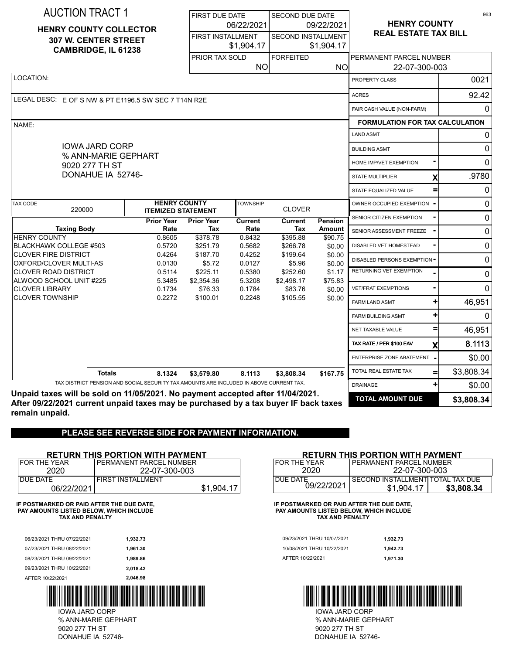| <b>AUCTION TRACT 1</b>                                                                                   |                                                    | <b>FIRST DUE DATE</b> |                                        | SECOND DUE DATE                 |                                         |                                          | 963          |
|----------------------------------------------------------------------------------------------------------|----------------------------------------------------|-----------------------|----------------------------------------|---------------------------------|-----------------------------------------|------------------------------------------|--------------|
| <b>HENRY COUNTY COLLECTOR</b>                                                                            |                                                    |                       | 06/22/2021                             |                                 | 09/22/2021                              | <b>HENRY COUNTY</b>                      |              |
|                                                                                                          | 307 W. CENTER STREET<br><b>CAMBRIDGE, IL 61238</b> |                       | <b>FIRST INSTALLMENT</b><br>\$1,904.17 |                                 | <b>SECOND INSTALLMENT</b><br>\$1,904.17 | <b>REAL ESTATE TAX BILL</b>              |              |
|                                                                                                          |                                                    | PRIOR TAX SOLD        | <b>NO</b>                              | <b>FORFEITED</b>                | NO.                                     | PERMANENT PARCEL NUMBER<br>22-07-300-003 |              |
| LOCATION:                                                                                                |                                                    |                       |                                        |                                 |                                         | PROPERTY CLASS                           | 0021         |
|                                                                                                          |                                                    |                       |                                        |                                 |                                         | <b>ACRES</b>                             | 92.42        |
| LEGAL DESC: E OF S NW & PT E1196.5 SW SEC 7 T14N R2E                                                     |                                                    |                       |                                        |                                 |                                         | FAIR CASH VALUE (NON-FARM)               | 0            |
| NAME:                                                                                                    |                                                    |                       |                                        |                                 |                                         | <b>FORMULATION FOR TAX CALCULATION</b>   |              |
|                                                                                                          |                                                    |                       |                                        |                                 |                                         | <b>LAND ASMT</b>                         | 0            |
| <b>IOWA JARD CORP</b>                                                                                    |                                                    |                       |                                        |                                 |                                         | <b>BUILDING ASMT</b>                     | 0            |
| % ANN-MARIE GEPHART<br>9020 277 TH ST                                                                    |                                                    |                       |                                        |                                 |                                         | HOME IMP/VET EXEMPTION                   | $\mathbf{0}$ |
| DONAHUE IA 52746-                                                                                        |                                                    |                       |                                        |                                 |                                         | STATE MULTIPLIER<br>χ                    | .9780        |
|                                                                                                          |                                                    |                       |                                        |                                 |                                         | STATE EQUALIZED VALUE<br>$\equiv$        | 0            |
| <b>TAX CODE</b>                                                                                          | <b>HENRY COUNTY</b>                                |                       | <b>TOWNSHIP</b>                        |                                 |                                         | OWNER OCCUPIED EXEMPTION                 | $\mathbf 0$  |
| 220000                                                                                                   | <b>ITEMIZED STATEMENT</b><br><b>Prior Year</b>     | <b>Prior Year</b>     | Current                                | <b>CLOVER</b><br><b>Current</b> | Pension                                 | SENIOR CITIZEN EXEMPTION                 | $\mathbf 0$  |
| <b>Taxing Body</b>                                                                                       | Rate                                               | Tax                   | Rate                                   | Tax                             | <b>Amount</b>                           | SENIOR ASSESSMENT FREEZE                 | $\mathbf 0$  |
| <b>HENRY COUNTY</b><br><b>BLACKHAWK COLLEGE #503</b>                                                     | 0.8605<br>0.5720                                   | \$378.78<br>\$251.79  | 0.8432<br>0.5682                       | \$395.88<br>\$266.78            | \$90.75<br>\$0.00                       | DISABLED VET HOMESTEAD                   | 0            |
| <b>CLOVER FIRE DISTRICT</b>                                                                              | 0.4264                                             | \$187.70              | 0.4252                                 | \$199.64                        | \$0.00                                  | DISABLED PERSONS EXEMPTION-              | $\mathbf 0$  |
| OXFORD/CLOVER MULTI-AS<br><b>CLOVER ROAD DISTRICT</b>                                                    | 0.0130<br>0.5114                                   | \$5.72<br>\$225.11    | 0.0127<br>0.5380                       | \$5.96<br>\$252.60              | \$0.00<br>\$1.17                        | <b>RETURNING VET EXEMPTION</b>           | $\mathbf{0}$ |
| ALWOOD SCHOOL UNIT #225<br><b>CLOVER LIBRARY</b>                                                         | 5.3485<br>0.1734                                   | \$2,354.36<br>\$76.33 | 5.3208<br>0.1784                       | \$2,498.17<br>\$83.76           | \$75.83<br>\$0.00                       | <b>VET/FRAT EXEMPTIONS</b>               | $\Omega$     |
| <b>CLOVER TOWNSHIP</b>                                                                                   | 0.2272                                             | \$100.01              | 0.2248                                 | \$105.55                        | \$0.00                                  | <b>FARM LAND ASMT</b>                    | 46,951       |
|                                                                                                          |                                                    |                       |                                        |                                 |                                         | $\pm$<br><b>FARM BUILDING ASMT</b>       | $\mathbf{0}$ |
|                                                                                                          |                                                    |                       |                                        |                                 |                                         | NET TAXABLE VALUE                        | 46,951       |
|                                                                                                          |                                                    |                       |                                        |                                 |                                         | TAX RATE / PER \$100 EAV                 | 8.1113       |
|                                                                                                          |                                                    |                       |                                        |                                 |                                         | X<br>ENTERPRISE ZONE ABATEMENT           | \$0.00       |
|                                                                                                          |                                                    |                       |                                        |                                 |                                         | TOTAL REAL ESTATE TAX                    | \$3,808.34   |
| <b>Totals</b><br>TAX DISTRICT PENSION AND SOCIAL SECURITY TAX AMOUNTS ARE INCLUDED IN ABOVE CURRENT TAX. | 8.1324                                             | \$3,579.80            | 8.1113                                 | \$3,808.34                      | \$167.75                                | $=$<br>$\pm$<br><b>DRAINAGE</b>          |              |
| Unpaid taxes will be sold on 11/05/2021. No payment accepted after 11/04/2021.                           |                                                    |                       |                                        |                                 |                                         |                                          | \$0.00       |
| After 09/22/2021 current unpaid taxes may be purchased by a tax buyer IF back taxes                      |                                                    |                       |                                        |                                 |                                         | <b>TOTAL AMOUNT DUE</b>                  | \$3,808.34   |

**After 09/22/2021 current unpaid taxes may be purchased by a tax buyer IF back taxes remain unpaid.**

# **PLEASE SEE REVERSE SIDE FOR PAYMENT INFORMATION.**

### **RETURN THIS PORTION WITH PAYMENT**

| FOR THE YEAR | PERMANENT PARCEL NUMBER  |            |
|--------------|--------------------------|------------|
| 2020         | 22-07-300-003            |            |
| DUE DATE     | <b>FIRST INSTALLMENT</b> |            |
| 06/22/2021   |                          | \$1,904.17 |

**IF POSTMARKED OR PAID AFTER THE DUE DATE, PAY AMOUNTS LISTED BELOW, WHICH INCLUDE TAX AND PENALTY**

| AFTER 10/22/2021           | 2.046.98 |                            |          |
|----------------------------|----------|----------------------------|----------|
| 09/23/2021 THRU 10/22/2021 | 2.018.42 |                            |          |
| 08/23/2021 THRU 09/22/2021 | 1.989.86 | AFTER 10/22/2021           | 1.971.30 |
| 07/23/2021 THRU 08/22/2021 | 1.961.30 | 10/08/2021 THRU 10/22/2021 | 1,942.73 |
| 06/23/2021 THRU 07/22/2021 | 1.932.73 | 09/23/2021 THRU 10/07/2021 | 1.932.73 |
|                            |          |                            |          |



DONAHUE IA 52746- 9020 277 TH ST % ANN-MARIE GEPHART IOWA JARD CORP

### **RETURN THIS PORTION WITH PAYMENT**

| FOR THE YEAR | <b>PERMANENT PARCEL NUMBER</b>   |            |  |  |  |  |
|--------------|----------------------------------|------------|--|--|--|--|
| 2020         | 22-07-300-003                    |            |  |  |  |  |
| DUF DATE     | SECOND INSTALLMENT TOTAL TAX DUE |            |  |  |  |  |
| 09/22/2021   | \$1.904.17                       | \$3,808,34 |  |  |  |  |

**IF POSTMARKED OR PAID AFTER THE DUE DATE, PAY AMOUNTS LISTED BELOW, WHICH INCLUDE TAX AND PENALTY**

| 09/23/2021 THRU 10/07/2021 | 1.932.73 |
|----------------------------|----------|
| 10/08/2021 THRU 10/22/2021 | 1.942.73 |
| AFTER 10/22/2021           | 1,971.30 |



DONAHUE IA 52746- 9020 277 TH ST % ANN-MARIE GEPHART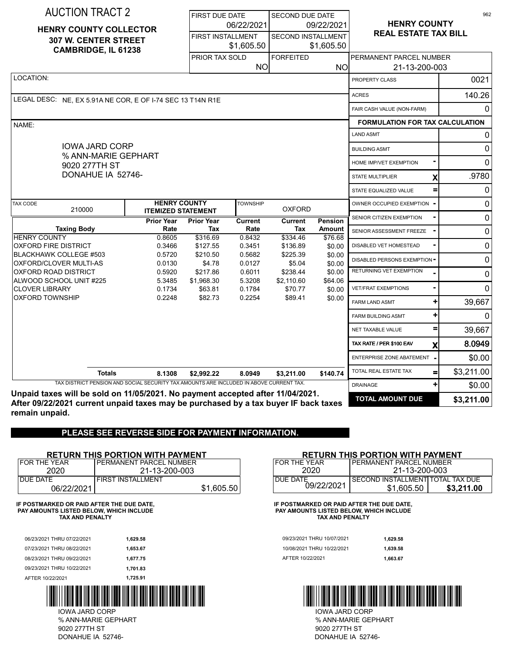| <b>AUCTION TRACT 2</b>                                                                  |                                                  | <b>FIRST DUE DATE</b>    |                  | <b>SECOND DUE DATE</b>    |                   |                                        | 962            |
|-----------------------------------------------------------------------------------------|--------------------------------------------------|--------------------------|------------------|---------------------------|-------------------|----------------------------------------|----------------|
|                                                                                         |                                                  |                          | 06/22/2021       |                           | 09/22/2021        | <b>HENRY COUNTY</b>                    |                |
| <b>HENRY COUNTY COLLECTOR</b><br>307 W. CENTER STREET                                   |                                                  | <b>FIRST INSTALLMENT</b> |                  | <b>SECOND INSTALLMENT</b> |                   | <b>REAL ESTATE TAX BILL</b>            |                |
| <b>CAMBRIDGE, IL 61238</b>                                                              |                                                  |                          | \$1,605.50       |                           | \$1,605.50        |                                        |                |
|                                                                                         |                                                  | PRIOR TAX SOLD           |                  | <b>FORFEITED</b>          |                   | PERMANENT PARCEL NUMBER                |                |
|                                                                                         |                                                  |                          | <b>NO</b>        |                           | ΝO                | 21-13-200-003                          |                |
| LOCATION:                                                                               |                                                  |                          |                  |                           |                   | PROPERTY CLASS                         | 0021           |
| LEGAL DESC: NE, EX 5.91A NE COR, E OF I-74 SEC 13 T14N R1E                              |                                                  |                          |                  |                           |                   | <b>ACRES</b>                           | 140.26         |
|                                                                                         |                                                  |                          |                  |                           |                   | FAIR CASH VALUE (NON-FARM)             | $\Omega$       |
| NAME:                                                                                   |                                                  |                          |                  |                           |                   | <b>FORMULATION FOR TAX CALCULATION</b> |                |
|                                                                                         |                                                  |                          |                  |                           |                   | <b>LAND ASMT</b>                       | 0              |
| <b>IOWA JARD CORP</b>                                                                   |                                                  |                          |                  |                           |                   | <b>BUILDING ASMT</b>                   | 0              |
| % ANN-MARIE GEPHART<br>9020 277TH ST                                                    |                                                  |                          |                  |                           |                   | HOME IMP/VET EXEMPTION                 | $\Omega$       |
| DONAHUE IA 52746-                                                                       |                                                  |                          |                  |                           |                   | <b>STATE MULTIPLIER</b><br>Х           | .9780          |
|                                                                                         |                                                  |                          |                  |                           |                   | STATE EQUALIZED VALUE                  | $\mathbf{0}$   |
| <b>TAX CODE</b><br>210000                                                               | <b>HENRY COUNTY</b><br><b>ITEMIZED STATEMENT</b> |                          | <b>TOWNSHIP</b>  | <b>OXFORD</b>             |                   | OWNER OCCUPIED EXEMPTION               | $\overline{0}$ |
|                                                                                         | <b>Prior Year</b>                                | <b>Prior Year</b>        | <b>Current</b>   | <b>Current</b>            | Pension           | SENIOR CITIZEN EXEMPTION               | $\mathbf 0$    |
| <b>Taxing Body</b><br><b>HENRY COUNTY</b>                                               | Rate<br>0.8605                                   | Tax<br>\$316.69          | Rate<br>0.8432   | Tax<br>\$334.46           | <b>Amount</b>     | SENIOR ASSESSMENT FREEZE               | $\mathbf{0}$   |
| <b>OXFORD FIRE DISTRICT</b>                                                             | 0.3466                                           | \$127.55                 | 0.3451           | \$136.89                  | \$76.68<br>\$0.00 | DISABLED VET HOMESTEAD                 | $\mathbf 0$    |
| <b>BLACKHAWK COLLEGE #503</b><br>OXFORD/CLOVER MULTI-AS                                 | 0.5720<br>0.0130                                 | \$210.50<br>\$4.78       | 0.5682<br>0.0127 | \$225.39<br>\$5.04        | \$0.00<br>\$0.00  | <b>DISABLED PERSONS EXEMPTION =</b>    | 0              |
| OXFORD ROAD DISTRICT                                                                    | 0.5920                                           | \$217.86                 | 0.6011           | \$238.44                  | \$0.00            | RETURNING VET EXEMPTION                | $\Omega$       |
| ALWOOD SCHOOL UNIT #225<br><b>CLOVER LIBRARY</b>                                        | 5.3485<br>0.1734                                 | \$1,968.30<br>\$63.81    | 5.3208<br>0.1784 | \$2,110.60<br>\$70.77     | \$64.06<br>\$0.00 | <b>VET/FRAT EXEMPTIONS</b>             | $\Omega$       |
| <b>OXFORD TOWNSHIP</b>                                                                  | 0.2248                                           | \$82.73                  | 0.2254           | \$89.41                   | \$0.00            | <b>FARM LAND ASMT</b>                  | 39,667         |
|                                                                                         |                                                  |                          |                  |                           |                   | ٠H<br><b>FARM BUILDING ASMT</b>        | $\Omega$       |
|                                                                                         |                                                  |                          |                  |                           |                   | NET TAXABLE VALUE                      | 39,667         |
|                                                                                         |                                                  |                          |                  |                           |                   | TAX RATE / PER \$100 EAV<br>X          | 8.0949         |
|                                                                                         |                                                  |                          |                  |                           |                   | ENTERPRISE ZONE ABATEMENT              | \$0.00         |
| <b>Totals</b>                                                                           | 8.1308                                           | \$2,992.22               | 8.0949           | \$3,211.00                | \$140.74          | TOTAL REAL ESTATE TAX                  | \$3,211.00     |
| TAX DISTRICT PENSION AND SOCIAL SECURITY TAX AMOUNTS ARE INCLUDED IN ABOVE CURRENT TAX. |                                                  |                          |                  |                           |                   | ٠H<br><b>DRAINAGE</b>                  | \$0.00         |
| Unpaid taxes will be sold on 11/05/2021. No payment accepted after 11/04/2021.          |                                                  |                          |                  |                           |                   | <b>TOTAL AMOUNT DUE</b>                |                |

**After 09/22/2021 current unpaid taxes may be purchased by a tax buyer IF back taxes remain unpaid.**

# **PLEASE SEE REVERSE SIDE FOR PAYMENT INFORMATION.**

### **RETURN THIS PORTION WITH PAYMENT**

| FOR THE YEAR | PERMANENT PARCEL NUMBER  |            |
|--------------|--------------------------|------------|
| 2020         | 21-13-200-003            |            |
| DUE DATE     | <b>FIRST INSTALLMENT</b> |            |
| 06/22/2021   |                          | \$1,605.50 |

**IF POSTMARKED OR PAID AFTER THE DUE DATE, PAY AMOUNTS LISTED BELOW, WHICH INCLUDE TAX AND PENALTY**

| AFTER 10/22/2021           | 1.725.91 |                            |          |
|----------------------------|----------|----------------------------|----------|
| 09/23/2021 THRU 10/22/2021 | 1.701.83 |                            |          |
| 08/23/2021 THRU 09/22/2021 | 1.677.75 | AFTER 10/22/2021           | 1.663.67 |
| 07/23/2021 THRU 08/22/2021 | 1.653.67 | 10/08/2021 THRU 10/22/2021 | 1.639.58 |
| 06/23/2021 THRU 07/22/2021 | 1.629.58 | 09/23/2021 THRU 10/07/2021 | 1.629.58 |
|                            |          |                            |          |



DONAHUE IA 52746- 9020 277TH ST % ANN-MARIE GEPHART IOWA JARD CORP

### **RETURN THIS PORTION WITH PAYMENT**

| FOR THE YEAR | <b>PERMANENT PARCEL NUMBER</b>   |            |  |  |  |
|--------------|----------------------------------|------------|--|--|--|
| 2020         | 21-13-200-003                    |            |  |  |  |
| DUE DATE     | SECOND INSTALLMENT TOTAL TAX DUE |            |  |  |  |
| 09/22/2021   | \$1.605.50                       | \$3,211.00 |  |  |  |

**IF POSTMARKED OR PAID AFTER THE DUE DATE, PAY AMOUNTS LISTED BELOW, WHICH INCLUDE TAX AND PENALTY**

| 09/23/2021 THRU 10/07/2021 | 1.629.58 |
|----------------------------|----------|
| 10/08/2021 THRU 10/22/2021 | 1.639.58 |
| AFTER 10/22/2021           | 1.663.67 |



DONAHUE IA 52746- 9020 277TH ST % ANN-MARIE GEPHART IOWA JARD CORP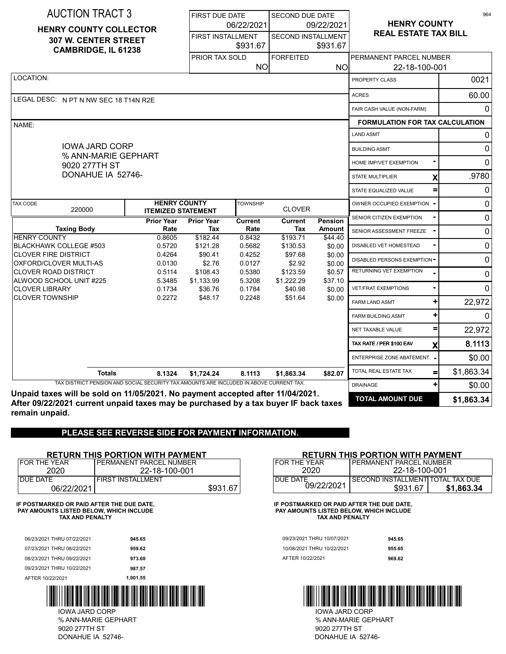| <b>AUCTION TRACT 3</b>                                                                  |                                                  | <b>FIRST DUE DATE</b>    |                  | <b>SECOND DUE DATE</b>    |                   |                                        | 964            |
|-----------------------------------------------------------------------------------------|--------------------------------------------------|--------------------------|------------------|---------------------------|-------------------|----------------------------------------|----------------|
| <b>HENRY COUNTY COLLECTOR</b>                                                           |                                                  |                          | 06/22/2021       | 09/22/2021                |                   | <b>HENRY COUNTY</b>                    |                |
| 307 W. CENTER STREET                                                                    |                                                  | <b>FIRST INSTALLMENT</b> |                  | <b>SECOND INSTALLMENT</b> |                   | <b>REAL ESTATE TAX BILL</b>            |                |
| <b>CAMBRIDGE, IL 61238</b>                                                              |                                                  |                          | \$931.67         |                           | \$931.67          |                                        |                |
|                                                                                         |                                                  | <b>PRIOR TAX SOLD</b>    |                  | <b>FORFEITED</b>          |                   | PERMANENT PARCEL NUMBER                |                |
|                                                                                         |                                                  |                          | <b>NO</b>        |                           | <b>NO</b>         | 22-18-100-001                          |                |
| LOCATION:                                                                               |                                                  |                          |                  |                           |                   | PROPERTY CLASS                         | 0021           |
| LEGAL DESC: N PT N NW SEC 18 T14N R2E                                                   |                                                  |                          |                  |                           |                   | <b>ACRES</b>                           | 60.00          |
|                                                                                         |                                                  |                          |                  |                           |                   | FAIR CASH VALUE (NON-FARM)             | $\Omega$       |
| NAME:                                                                                   |                                                  |                          |                  |                           |                   | <b>FORMULATION FOR TAX CALCULATION</b> |                |
|                                                                                         |                                                  |                          |                  |                           |                   | <b>LAND ASMT</b>                       | $\Omega$       |
| <b>IOWA JARD CORP</b><br>% ANN-MARIE GEPHART                                            |                                                  |                          |                  |                           |                   | <b>BUILDING ASMT</b>                   | 0              |
| 9020 277TH ST                                                                           |                                                  |                          |                  |                           |                   | HOME IMP/VET EXEMPTION                 | $\Omega$       |
| DONAHUE IA 52746-                                                                       |                                                  |                          |                  |                           |                   | <b>STATE MULTIPLIER</b><br>X           | .9780          |
|                                                                                         |                                                  |                          |                  |                           |                   | STATE EQUALIZED VALUE<br>=             | 0              |
| <b>TAX CODE</b><br>220000                                                               | <b>HENRY COUNTY</b><br><b>ITEMIZED STATEMENT</b> |                          | <b>TOWNSHIP</b>  | <b>CLOVER</b>             |                   | OWNER OCCUPIED EXEMPTION               | $\overline{0}$ |
|                                                                                         | <b>Prior Year</b>                                | <b>Prior Year</b>        | <b>Current</b>   | <b>Current</b>            | <b>Pension</b>    | SENIOR CITIZEN EXEMPTION               | $\mathbf 0$    |
| <b>Taxing Body</b><br><b>HENRY COUNTY</b>                                               | Rate<br>0.8605                                   | Tax<br>\$182.44          | Rate<br>0.8432   | Tax<br>\$193.71           | <b>Amount</b>     | SENIOR ASSESSMENT FREEZE               | 0              |
| <b>BLACKHAWK COLLEGE #503</b>                                                           | 0.5720                                           | \$121.28                 | 0.5682           | \$130.53                  | \$44.40<br>\$0.00 | DISABLED VET HOMESTEAD                 | $\mathbf 0$    |
| <b>CLOVER FIRE DISTRICT</b><br>OXFORD/CLOVER MULTI-AS                                   | 0.4264<br>0.0130                                 | \$90.41<br>\$2.76        | 0.4252<br>0.0127 | \$97.68<br>\$2.92         | \$0.00<br>\$0.00  | DISABLED PERSONS EXEMPTION =           | 0              |
| <b>CLOVER ROAD DISTRICT</b>                                                             | 0.5114                                           | \$108.43                 | 0.5380           | \$123.59                  | \$0.57            | RETURNING VET EXEMPTION                | 0              |
| ALWOOD SCHOOL UNIT #225<br><b>CLOVER LIBRARY</b>                                        | 5.3485<br>0.1734                                 | \$1,133.99<br>\$36.76    | 5.3208<br>0.1784 | \$1,222.29<br>\$40.98     | \$37.10<br>\$0.00 | <b>VET/FRAT EXEMPTIONS</b>             | $\Omega$       |
| <b>CLOVER TOWNSHIP</b>                                                                  | 0.2272                                           | \$48.17                  | 0.2248           | \$51.64                   | \$0.00            | <b>FARM LAND ASMT</b>                  | 22,972         |
|                                                                                         |                                                  |                          |                  |                           |                   | ٠<br><b>FARM BUILDING ASMT</b>         | $\mathbf{0}$   |
|                                                                                         |                                                  |                          |                  |                           |                   | NET TAXABLE VALUE                      | 22,972         |
|                                                                                         |                                                  |                          |                  |                           |                   | TAX RATE / PER \$100 EAV<br>X          | 8.1113         |
|                                                                                         |                                                  |                          |                  |                           |                   | ENTERPRISE ZONE ABATEMENT              | \$0.00         |
| <b>Totals</b>                                                                           | 8.1324                                           | \$1,724.24               | 8.1113           | \$1.863.34                | \$82.07           | TOTAL REAL ESTATE TAX<br>$=$           | \$1,863.34     |
| TAX DISTRICT PENSION AND SOCIAL SECURITY TAX AMOUNTS ARE INCLUDED IN ABOVE CURRENT TAX. |                                                  |                          |                  |                           |                   | $\pm$<br><b>DRAINAGE</b>               | \$0.00         |
| Unpaid taxes will be sold on 11/05/2021. No payment accepted after 11/04/2021.          |                                                  |                          |                  |                           |                   |                                        |                |

**After 09/22/2021 current unpaid taxes may be purchased by a tax buyer IF back taxes remain unpaid.**

# **PLEASE SEE REVERSE SIDE FOR PAYMENT INFORMATION.**

### **RETURN THIS PORTION WITH PAYMENT**

| FOR THE YEAR | I PERMANENT PARCEL NUMBER |          |
|--------------|---------------------------|----------|
| 2020         | 22-18-100-001             |          |
| DUE DATE     | I FIRST INSTALLMENT       |          |
| 06/22/2021   |                           | \$931.67 |

**IF POSTMARKED OR PAID AFTER THE DUE DATE, PAY AMOUNTS LISTED BELOW, WHICH INCLUDE TAX AND PENALTY**

| AFTER 10/22/2021           | 1.001.55 |                            |        |
|----------------------------|----------|----------------------------|--------|
| 09/23/2021 THRU 10/22/2021 | 987.57   |                            |        |
| 08/23/2021 THRU 09/22/2021 | 973.60   | AFTER 10/22/2021           | 969.62 |
| 07/23/2021 THRU 08/22/2021 | 959.62   | 10/08/2021 THRU 10/22/2021 | 955.65 |
| 06/23/2021 THRU 07/22/2021 | 945.65   | 09/23/2021 THRU 10/07/2021 | 945.65 |
|                            |          |                            |        |



DONAHUE IA 52746- 9020 277TH ST % ANN-MARIE GEPHART IOWA JARD CORP

### **RETURN THIS PORTION WITH PAYMENT**

| <b>IFOR THE YEAR</b> | PERMANENT PARCEL NUMBER          |            |  |  |
|----------------------|----------------------------------|------------|--|--|
| 2020                 | 22-18-100-001                    |            |  |  |
| DUF DATE             | SECOND INSTALLMENT TOTAL TAX DUE |            |  |  |
| 09/22/2021           | \$931.67                         | \$1.863.34 |  |  |

**IF POSTMARKED OR PAID AFTER THE DUE DATE, PAY AMOUNTS LISTED BELOW, WHICH INCLUDE TAX AND PENALTY**

| 09/23/2021 THRU 10/07/2021 | 945.65 |
|----------------------------|--------|
| 10/08/2021 THRU 10/22/2021 | 955.65 |
| AFTER 10/22/2021           | 969.62 |



DONAHUE IA 52746- 9020 277TH ST % ANN-MARIE GEPHART